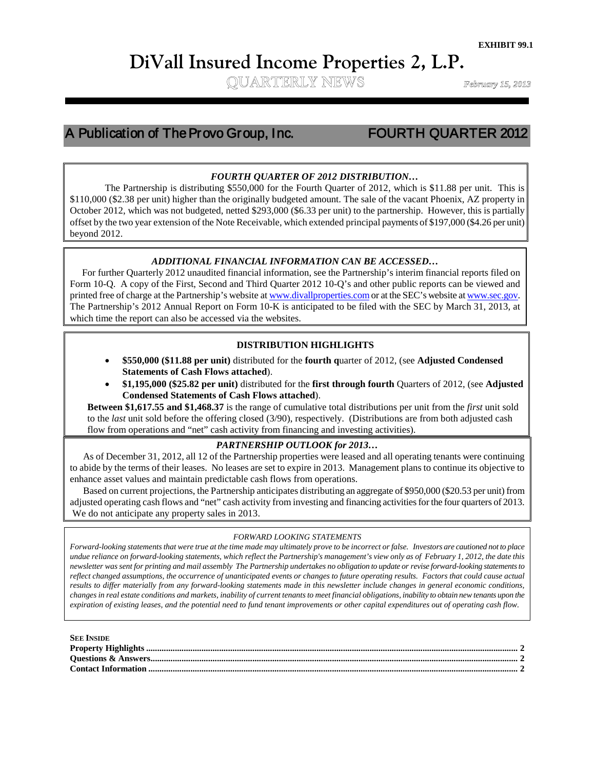# **DiVall Insured Income Properties 2, L.P.**<br>
QUARTERLY NEWS

# A Publication of The Provo Group, Inc. FOURTH QUARTER 2012

 

### *FOURTH QUARTER OF 2012 DISTRIBUTION…*

STT0,000 (S2.38 per unit) nigher than the originally budgeted amount. The sale of the vacant Phoenix, AZ property in<br>October 2012, which was not budgeted, netted \$293,000 (\$6.33 per unit) to the partnership. However, this The Partnership is distributing \$550,000 for the Fourth Quarter of 2012, which is \$11.88 per unit. This is \$110,000 (\$2.38 per unit) higher than the originally budgeted amount. The sale of the vacant Phoenix, AZ property in offset by the two year extension of the Note Receivable, which extended principal payments of \$197,000 (\$4.26 per unit) beyond 2012.

#### *ADDITIONAL FINANCIAL INFORMATION CAN BE ACCESSED…*

 For further Quarterly 2012 unaudited financial information, see the Partnership's interim financial reports filed on Form 10-Q. A copy of the First, Second and Third Quarter 2012 10-Q's and other public reports can be viewed and printed free of charge at the Partnership's website a[t www.divallproperties.como](http://www.divallproperties.com/)r at the SEC's website a[t www.sec.gov.](http://www.sec.gov/) The Partnership's 2012 Annual Report on Form 10-K is anticipated to be filed with the SEC by March 31, 2013, at which time the report can also be accessed via the websites.

#### **DISTRIBUTION HIGHLIGHTS**

- **\$550,000 (\$11.88 per unit)** distributed for the **fourth q**uarter of 2012, (see **Adjusted Condensed Statements of Cash Flows attached**).
- **\$1,195,000 (\$25.82 per unit)** distributed for the **first through fourth** Quarters of 2012, (see **Adjusted Condensed Statements of Cash Flows attached**).

**Between \$1,617.55 and \$1,468.37** is the range of cumulative total distributions per unit from the *first* unit sold to the *last* unit sold before the offering closed (3/90), respectively. (Distributions are from both adjusted cash flow from operations and "net" cash activity from financing and investing activities).

#### *PARTNERSHIP OUTLOOK for 2013…*

As of December 31, 2012, all 12 of the Partnership properties were leased and all operating tenants were continuing to abide by the terms of their leases. No leases are set to expire in 2013. Management plans to continue its objective to enhance asset values and maintain predictable cash flows from operations.

Based on current projections, the Partnership anticipates distributing an aggregate of \$950,000 (\$20.53 per unit) from adjusted operating cash flows and "net" cash activity from investing and financing activities for the four quarters of 2013. We do not anticipate any property sales in 2013.

#### *FORWARD LOOKING STATEMENTS*

*Forward-looking statements that were true at the time made may ultimately prove to be incorrect or false. Investors are cautioned not to place undue reliance on forward-looking statements, which reflect the Partnership's management's view only as of February 1, 2012, the date this newsletter was sent for printing and mail assembly The Partnership undertakes no obligation to update or revise forward-looking statements to reflect changed assumptions, the occurrence of unanticipated events or changes to future operating results. Factors that could cause actual results to differ materially from any forward-looking statements made in this newsletter include changes in general economic conditions, changes in real estate conditions and markets, inability of current tenants to meet financial obligations, inability to obtain new tenants upon the expiration of existing leases, and the potential need to fund tenant improvements or other capital expenditures out of operating cash flow.*

#### **SEE INSIDE Property Highlights ........................................................................................................................................................................ 2 Questions & Answers...................................................................................................................................................................... 2 Contact Information ....................................................................................................................................................................... 2**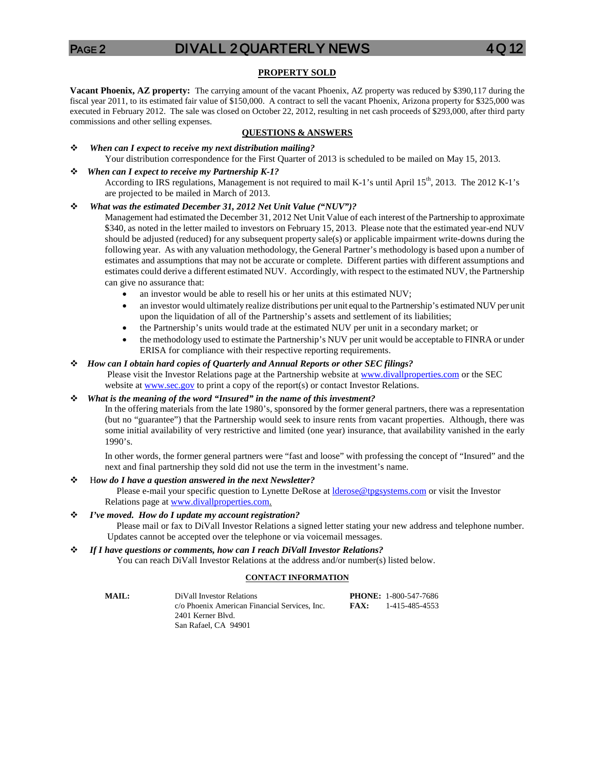## PAGE 2 DIVALL 2 QUARTERLY NEWS 4 Q

#### **PROPERTY SOLD**

**Vacant Phoenix, AZ property:** The carrying amount of the vacant Phoenix, AZ property was reduced by \$390,117 during the fiscal year 2011, to its estimated fair value of \$150,000. A contract to sell the vacant Phoenix, Arizona property for \$325,000 was executed in February 2012. The sale was closed on October 22, 2012, resulting in net cash proceeds of \$293,000, after third party commissions and other selling expenses.

#### **QUESTIONS & ANSWERS**

 *When can I expect to receive my next distribution mailing?* Your distribution correspondence for the First Quarter of 2013 is scheduled to be mailed on May 15, 2013.

#### *When can I expect to receive my Partnership K-1?*

According to IRS regulations, Management is not required to mail K-1's until April 15<sup>th</sup>, 2013. The 2012 K-1's are projected to be mailed in March of 2013.

#### *What was the estimated December 31, 2012 Net Unit Value ("NUV")?*

Management had estimated the December 31, 2012 Net Unit Value of each interest of the Partnership to approximate \$340, as noted in the letter mailed to investors on February 15, 2013. Please note that the estimated year-end NUV should be adjusted (reduced) for any subsequent property sale(s) or applicable impairment write-downs during the following year. As with any valuation methodology, the General Partner's methodology is based upon a number of estimates and assumptions that may not be accurate or complete. Different parties with different assumptions and estimates could derive a different estimated NUV. Accordingly, with respect to the estimated NUV, the Partnership can give no assurance that:

- an investor would be able to resell his or her units at this estimated NUV;
- an investor would ultimately realize distributions per unit equal to the Partnership's estimated NUV per unit upon the liquidation of all of the Partnership's assets and settlement of its liabilities;
- the Partnership's units would trade at the estimated NUV per unit in a secondary market; or
- the methodology used to estimate the Partnership's NUV per unit would be acceptable to FINRA or under ERISA for compliance with their respective reporting requirements.

#### *How can I obtain hard copies of Quarterly and Annual Reports or other SEC filings?*

Please visit the Investor Relations page at the Partnership website at [www.divallproperties.com](http://www.divallproperties.com/) or the SEC

website a[t www.sec.gov](http://www.sec.gov/) to print a copy of the report(s) or contact Investor Relations.

#### *What is the meaning of the word "Insured" in the name of this investment?*

In the offering materials from the late 1980's, sponsored by the former general partners, there was a representation (but no "guarantee") that the Partnership would seek to insure rents from vacant properties. Although, there was some initial availability of very restrictive and limited (one year) insurance, that availability vanished in the early 1990's.

In other words, the former general partners were "fast and loose" with professing the concept of "Insured" and the next and final partnership they sold did not use the term in the investment's name.

#### H*ow do I have a question answered in the next Newsletter?*

Please e-mail your specific question to Lynette DeRose at *derose@tpgsystems.com* or visit the Investor Relations page at [www.divallproperties.com.](http://www.divallproperties.com/)

#### *I've moved. How do I update my account registration?*

 Please mail or fax to DiVall Investor Relations a signed letter stating your new address and telephone number. Updates cannot be accepted over the telephone or via voicemail messages.

#### *If I have questions or comments, how can I reach DiVall Investor Relations?*

You can reach DiVall Investor Relations at the address and/or number(s) listed below.

#### **CONTACT INFORMATION**

| MAIL: | DiVall Investor Relations                     |      | <b>PHONE: 1-800-547-7686</b> |
|-------|-----------------------------------------------|------|------------------------------|
|       | c/o Phoenix American Financial Services, Inc. | FAX: | 1-415-485-4553               |
|       | 2401 Kerner Blyd.                             |      |                              |
|       | San Rafael, CA 94901                          |      |                              |